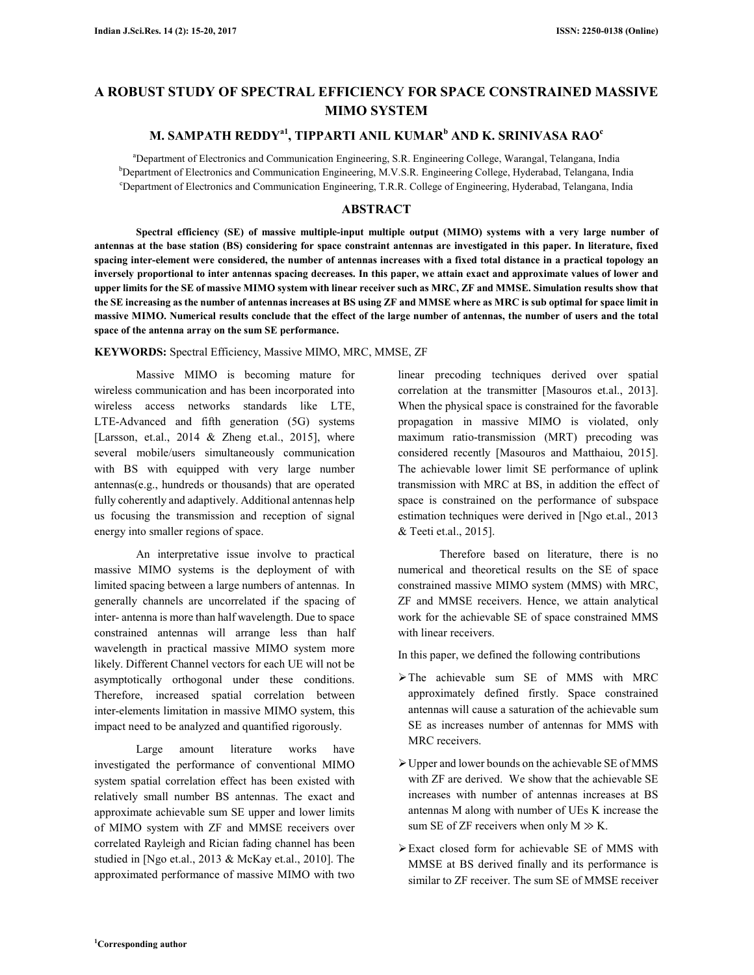# **A ROBUST STUDY OF SPECTRAL EFFICIENCY FOR SPACE CONSTRAINED MASSIVE MIMO SYSTEM**

# **M. SAMPATH REDDYa1, TIPPARTI ANIL KUMAR<sup>b</sup> AND K. SRINIVASA RAO<sup>c</sup>**

<sup>a</sup>Department of Electronics and Communication Engineering, S.R. Engineering College, Warangal, Telangana, India <sup>b</sup>Department of Electronics and Communication Engineering, M.V.S.R. Engineering College, Hyderabad, Telangana, India <sup>c</sup>Department of Electronics and Communication Engineering, T.R.R. College of Engineering, Hyderabad, Telangana, India

# **ABSTRACT**

**Spectral efficiency (SE) of massive multiple-input multiple output (MIMO) systems with a very large number of antennas at the base station (BS) considering for space constraint antennas are investigated in this paper. In literature, fixed spacing inter-element were considered, the number of antennas increases with a fixed total distance in a practical topology an inversely proportional to inter antennas spacing decreases. In this paper, we attain exact and approximate values of lower and upper limits for the SE of massive MIMO system with linear receiver such as MRC, ZF and MMSE. Simulation results show that the SE increasing as the number of antennas increases at BS using ZF and MMSE where as MRC is sub optimal for space limit in massive MIMO. Numerical results conclude that the effect of the large number of antennas, the number of users and the total space of the antenna array on the sum SE performance.** 

#### **KEYWORDS:** Spectral Efficiency, Massive MIMO, MRC, MMSE, ZF

Massive MIMO is becoming mature for wireless communication and has been incorporated into wireless access networks standards like LTE, LTE-Advanced and fifth generation (5G) systems [Larsson, et.al.,  $2014 \&$  Zheng et.al.,  $2015$ ], where several mobile/users simultaneously communication with BS with equipped with very large number antennas(e.g., hundreds or thousands) that are operated fully coherently and adaptively. Additional antennas help us focusing the transmission and reception of signal energy into smaller regions of space.

An interpretative issue involve to practical massive MIMO systems is the deployment of with limited spacing between a large numbers of antennas. In generally channels are uncorrelated if the spacing of inter- antenna is more than half wavelength. Due to space constrained antennas will arrange less than half wavelength in practical massive MIMO system more likely. Different Channel vectors for each UE will not be asymptotically orthogonal under these conditions. Therefore, increased spatial correlation between inter-elements limitation in massive MIMO system, this impact need to be analyzed and quantified rigorously.

Large amount literature works have investigated the performance of conventional MIMO system spatial correlation effect has been existed with relatively small number BS antennas. The exact and approximate achievable sum SE upper and lower limits of MIMO system with ZF and MMSE receivers over correlated Rayleigh and Rician fading channel has been studied in [Ngo et.al., 2013 & McKay et.al., 2010]. The approximated performance of massive MIMO with two

linear precoding techniques derived over spatial correlation at the transmitter [Masouros et.al., 2013]. When the physical space is constrained for the favorable propagation in massive MIMO is violated, only maximum ratio-transmission (MRT) precoding was considered recently [Masouros and Matthaiou, 2015]. The achievable lower limit SE performance of uplink transmission with MRC at BS, in addition the effect of space is constrained on the performance of subspace estimation techniques were derived in [Ngo et.al., 2013 & Teeti et.al., 2015].

Therefore based on literature, there is no numerical and theoretical results on the SE of space constrained massive MIMO system (MMS) with MRC, ZF and MMSE receivers. Hence, we attain analytical work for the achievable SE of space constrained MMS with linear receivers.

In this paper, we defined the following contributions

- The achievable sum SE of MMS with MRC approximately defined firstly. Space constrained antennas will cause a saturation of the achievable sum SE as increases number of antennas for MMS with MRC receivers.
- Upper and lower bounds on the achievable SE of MMS with ZF are derived. We show that the achievable SE increases with number of antennas increases at BS antennas M along with number of UEs K increase the sum SE of ZF receivers when only  $M \gg K$ .
- Exact closed form for achievable SE of MMS with MMSE at BS derived finally and its performance is similar to ZF receiver. The sum SE of MMSE receiver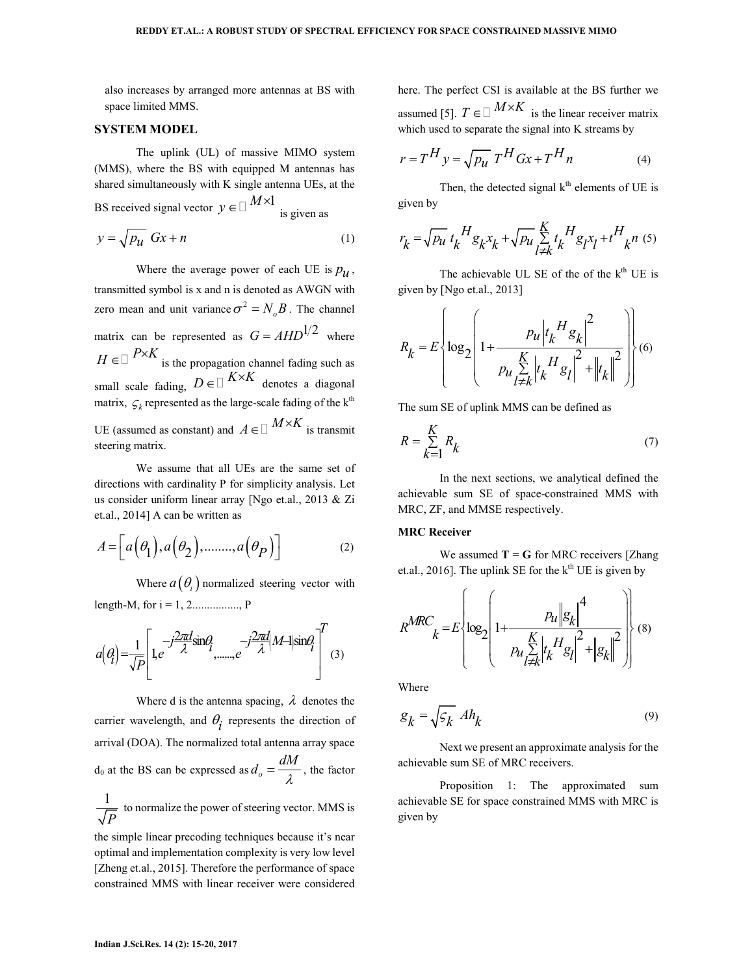also increases by arranged more antennas at BS with space limited MMS.

#### **SYSTEM MODEL**

The uplink (UL) of massive MIMO system (MMS), where the BS with equipped M antennas has shared simultaneously with K single antenna UEs, at the

BS received signal vector  $y \in M \times 1$ is given as

$$
y = \sqrt{p_u} \, Gx + n \tag{1}
$$

Where the average power of each UE is  $p_u$ , transmitted symbol is x and n is denoted as AWGN with zero mean and unit variance  $\sigma^2 = N_o B$ . The channel matrix can be represented as  $G = AHD^{1/2}$  where  $H \in P \times K$  is the propagation channel fading such as small scale fading,  $D \in K \times K$  denotes a diagonal matrix,  $\mathcal{G}_k$  represented as the large-scale fading of the  $k^{\text{th}}$ UE (assumed as constant) and  $A \in M \times K$  is transmit steering matrix.

We assume that all UEs are the same set of directions with cardinality P for simplicity analysis. Let us consider uniform linear array [Ngo et.al., 2013 & Zi et.al., 2014] A can be written as

$$
A = \left[ a(\theta_1), a(\theta_2), \dots, a(\theta_P) \right]
$$
 (2)

Where  $a(\theta_i)$  normalized steering vector with length-M, for  $i = 1, 2, \dots, P$ 

$$
a(q) = \frac{1}{\sqrt{P}} \left[ 1, e^{-j\frac{2\pi d}{\lambda}sin\theta} \left( \frac{-j\frac{2\pi d}{\lambda} |M + |sin\theta|}{\lambda} \right)^T (3) \right]
$$

Where d is the antenna spacing,  $\lambda$  denotes the carrier wavelength, and  $\theta_i$  represents the direction of arrival (DOA). The normalized total antenna array space d<sub>0</sub> at the BS can be expressed as  $d_o = \frac{dM}{\lambda}$ , the factor 1

*P* to normalize the power of steering vector. MMS is

the simple linear precoding techniques because it's near optimal and implementation complexity is very low level [Zheng et.al., 2015]. Therefore the performance of space constrained MMS with linear receiver were considered here. The perfect CSI is available at the BS further we assumed [5].  $T \in M \times K$  is the linear receiver matrix which used to separate the signal into K streams by

$$
r = T^H y = \sqrt{p_u} T^H G x + T^H n \tag{4}
$$

Then, the detected signal  $k<sup>th</sup>$  elements of UE is given by

$$
r_{k} = \sqrt{p_{u}} t_{k}^{H} g_{k} x_{k} + \sqrt{p_{u}} \sum_{l \neq k}^{K} t_{k}^{H} g_{l} x_{l} + t^{H}{}_{k} n \tag{5}
$$

The achievable UL SE of the of the  $k<sup>th</sup>$  UE is given by [Ngo et.al., 2013]

$$
R_{k} = E \left\{ \log_{2} \left( 1 + \frac{p_{u} \left| t_{k}^{H} g_{k} \right|^{2}}{p_{u} \sum_{l \neq k}^{K} \left| t_{k}^{H} g_{l} \right|^{2} + \left\| t_{k} \right\|^{2}} \right) \right\} (6)
$$

The sum SE of uplink MMS can be defined as

$$
R = \sum_{k=1}^{K} R_k \tag{7}
$$

In the next sections, we analytical defined the achievable sum SE of space-constrained MMS with MRC, ZF, and MMSE respectively.

# **MRC Receiver**

 $\mathcal{L}$ 

We assumed  $T = G$  for MRC receivers [Zhang et.al., 2016]. The uplink SE for the  $k<sup>th</sup>$  UE is given by

$$
R^{MRC}{}_{k} = E \left\{ \log_2 \left( 1 + \frac{p_u \left\| g_k \right\|^4}{p_u \sum_{l \neq k}^{K} \left| t_k \right\|^2 + \left\| g_k \right\|^2} \right) \right\} (8)
$$

Where

$$
g_k = \sqrt{\varsigma_k} \ A h_k \tag{9}
$$

Next we present an approximate analysis for the achievable sum SE of MRC receivers.

Proposition 1: The approximated sum achievable SE for space constrained MMS with MRC is given by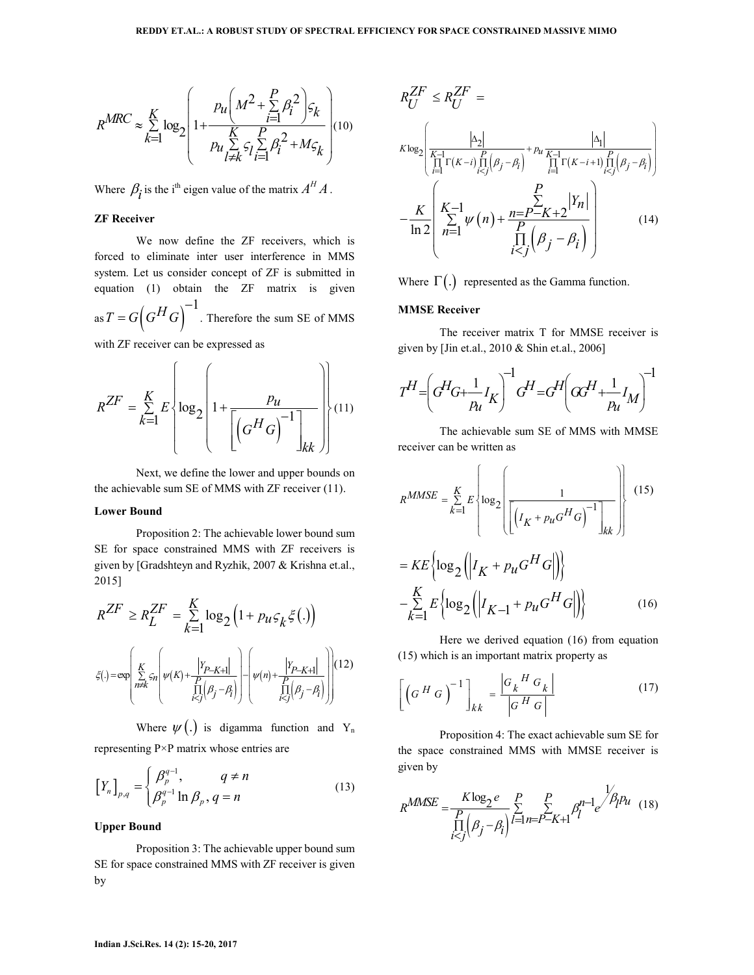$$
R^{MRC} \approx \sum\limits_{k=1}^{K} \log_2 \left(1 + \frac{p_u \left(M^2 + \sum\limits_{i=1}^{P} \beta_i^2\right) \varsigma_k}{p_u \sum\limits_{l \neq k}^{K} \varsigma_l \sum\limits_{i=1}^{P} \beta_i^2 + M \varsigma_k}\right) \hspace{-4mm} (10)
$$

Where  $\beta_i$  is the i<sup>th</sup> eigen value of the matrix  $A^H A$ .

#### **ZF Receiver**

We now define the ZF receivers, which is forced to eliminate inter user interference in MMS system. Let us consider concept of ZF is submitted in equation (1) obtain the ZF matrix is given as  $T = G \left( G^H G \right)^{-1}$  $= G \big( G^{\Pi} G \big)$  . Therefore the sum SE of MMS

with ZF receiver can be expressed as

$$
R^{ZF} = \sum_{k=1}^{K} E \left\{ \log_2 \left( 1 + \frac{p_u}{\left[ \left( G^H G \right)^{-1} \right]_{kk}} \right) \right\} (11)
$$

Next, we define the lower and upper bounds on the achievable sum SE of MMS with ZF receiver (11).

#### **Lower Bound**

Proposition 2: The achievable lower bound sum SE for space constrained MMS with ZF receivers is given by [Gradshteyn and Ryzhik, 2007 & Krishna et.al., 2015]

$$
R^{ZF} \ge R_L^{ZF} = \sum_{k=1}^K \log_2 \left( 1 + p_{\mathcal{U}} \varsigma_k \xi(.) \right)
$$

$$
\xi(.) = \exp \left( \sum_{\substack{n \neq k \\ n \neq j}}^K \varsigma_n \left( \psi(k) + \frac{|Y_{P-K+1}|}{\prod_{i
$$

Where  $\psi(.)$  is digamma function and Y<sub>n</sub> representing P×P matrix whose entries are

$$
\left[Y_n\right]_{p,q} = \begin{cases} \beta_p^{q-1}, & q \neq n \\ \beta_p^{q-1} \ln \beta_p, q = n \end{cases}
$$
\n(13)

 $\left(\beta_p^{q-1}\ln\beta_p,q\right)$ 

#### **Upper Bound**

Proposition 3: The achievable upper bound sum SE for space constrained MMS with ZF receiver is given by

$$
R_{U}^{ZF} \leq R_{U}^{ZF} = \sum_{\substack{K \log_{2} \text{min} \\ \prod_{i=1}^{K-1} \Gamma(K-i) \prod_{i
$$
-\frac{K}{\ln 2} \left( \sum_{n=1}^{K-1} \psi(n) + \frac{n = P - K + 2}{\prod_{i
$$
$$

Where  $\Gamma(.)$  represented as the Gamma function.

#### **MMSE Receiver**

The receiver matrix T for MMSE receiver is given by [Jin et.al., 2010 & Shin et.al., 2006]

$$
T^H\!\!=\!\!\left(\!G^H\!G\!\!+\!\!\frac{1}{p_{\!u}}I_K\!\right)^{\!\!-1}\!G^H\!\!=\!\!G^H\!\!\left(\!G\!G^H\!\!+\!\!\frac{1}{p_{\!u}}I_M\!\right)^{\!\!-1}\!\!
$$

The achievable sum SE of MMS with MMSE receiver can be written as

$$
R^{MMSE} = \sum_{k=1}^{K} E \left\{ \log_2 \left( \frac{1}{\left[ \left( I_K + p_u G^H G \right)^{-1} \right]_{kk}} \right) \right\}
$$
 (15)  

$$
= KE \left\{ \log_2 \left( \left| I_K + p_u G^H G \right| \right) \right\}
$$

$$
- \sum_{k=1}^{K} E \left\{ \log_2 \left( \left| I_{K-1} + p_u G^H G \right| \right) \right\}
$$
 (16)

Here we derived equation (16) from equation (15) which is an important matrix property as

$$
\left[ \left( G^{H} G \right)^{-1} \right]_{kk} = \frac{\left| G_{k}^{H} G_{k} \right|}{\left| G^{H} G \right|}
$$
 (17)

Proposition 4: The exact achievable sum SE for the space constrained MMS with MMSE receiver is given by

$$
R^{MMSE} = \frac{K \log_2 e}{\prod_{i < j}^{P} (\beta_j - \beta_i)} \sum_{l=1}^{P} \sum_{n=P-K+1}^{P} \beta_l^{n-1} e^{\lambda_{i}^{P} p_{l}} \tag{18}
$$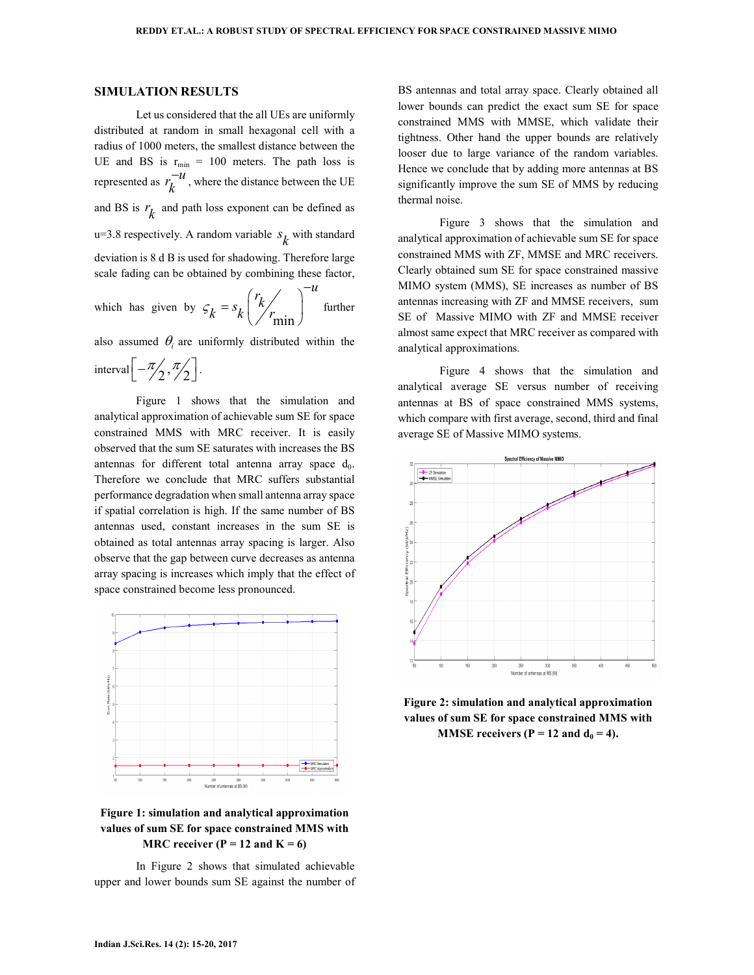### **SIMULATION RESULTS**

Let us considered that the all UEs are uniformly distributed at random in small hexagonal cell with a radius of 1000 meters, the smallest distance between the UE and BS is  $r_{min} = 100$  meters. The path loss is represented as  $r_k^{-u}$  $\bar{u}$ , where the distance between the UE and BS is  $r_k$  and path loss exponent can be defined as u=3.8 respectively. A random variable  $s_k$  with standard deviation is 8 d B is used for shadowing. Therefore large scale fading can be obtained by combining these factor,

which has given by 
$$
\varsigma_k = s_k \left(\frac{r_k}{r_{\text{min}}}\right)^{-u}
$$
 further

also assumed  $\theta_i$  are uniformly distributed within the

interval 
$$
\[-\frac{\pi}{2}, \frac{\pi}{2}\].
$$

Figure 1 shows that the simulation and analytical approximation of achievable sum SE for space constrained MMS with MRC receiver. It is easily observed that the sum SE saturates with increases the BS antennas for different total antenna array space  $d_0$ . Therefore we conclude that MRC suffers substantial performance degradation when small antenna array space if spatial correlation is high. If the same number of BS antennas used, constant increases in the sum SE is obtained as total antennas array spacing is larger. Also observe that the gap between curve decreases as antenna array spacing is increases which imply that the effect of space constrained become less pronounced.



# **Figure 1: simulation and analytical approximation values of sum SE for space constrained MMS with MRC receiver (P = 12 and K = 6)**

In Figure 2 shows that simulated achievable upper and lower bounds sum SE against the number of

BS antennas and total array space. Clearly obtained all lower bounds can predict the exact sum SE for space constrained MMS with MMSE, which validate their tightness. Other hand the upper bounds are relatively looser due to large variance of the random variables. Hence we conclude that by adding more antennas at BS significantly improve the sum SE of MMS by reducing thermal noise.

Figure 3 shows that the simulation and analytical approximation of achievable sum SE for space constrained MMS with ZF, MMSE and MRC receivers. Clearly obtained sum SE for space constrained massive MIMO system (MMS), SE increases as number of BS antennas increasing with ZF and MMSE receivers, sum SE of Massive MIMO with ZF and MMSE receiver almost same expect that MRC receiver as compared with analytical approximations.

Figure 4 shows that the simulation and analytical average SE versus number of receiving antennas at BS of space constrained MMS systems, which compare with first average, second, third and final average SE of Massive MIMO systems.



**Figure 2: simulation and analytical approximation values of sum SE for space constrained MMS with MMSE receivers (P = 12 and**  $d_0 = 4$ **).**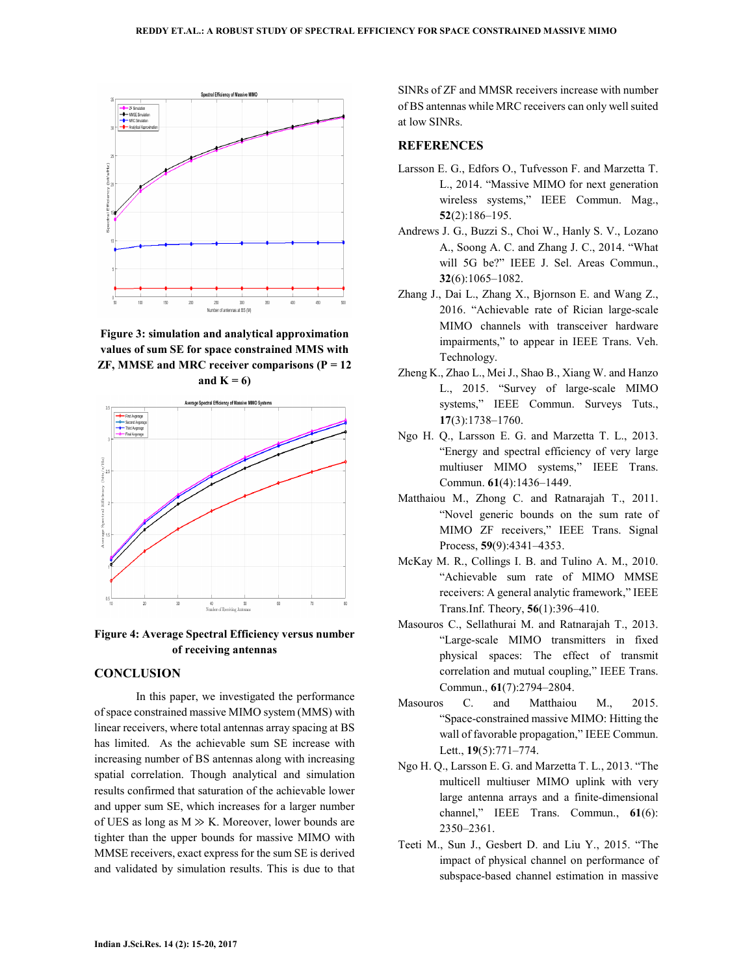

**Figure 3: simulation and analytical approximation values of sum SE for space constrained MMS with ZF, MMSE and MRC receiver comparisons (P = 12**  and  $K = 6$ )



**Figure 4: Average Spectral Efficiency versus number of receiving antennas** 

# **CONCLUSION**

In this paper, we investigated the performance of space constrained massive MIMO system (MMS) with linear receivers, where total antennas array spacing at BS has limited. As the achievable sum SE increase with increasing number of BS antennas along with increasing spatial correlation. Though analytical and simulation results confirmed that saturation of the achievable lower and upper sum SE, which increases for a larger number of UES as long as  $M \gg K$ . Moreover, lower bounds are tighter than the upper bounds for massive MIMO with MMSE receivers, exact express for the sum SE is derived and validated by simulation results. This is due to that SINRs of ZF and MMSR receivers increase with number of BS antennas while MRC receivers can only well suited at low SINRs.

### **REFERENCES**

- Larsson E. G., Edfors O., Tufvesson F. and Marzetta T. L., 2014. "Massive MIMO for next generation wireless systems," IEEE Commun. Mag., **52**(2):186–195.
- Andrews J. G., Buzzi S., Choi W., Hanly S. V., Lozano A., Soong A. C. and Zhang J. C., 2014. "What will 5G be?" IEEE J. Sel. Areas Commun., **32**(6):1065–1082.
- Zhang J., Dai L., Zhang X., Bjornson E. and Wang Z., 2016. "Achievable rate of Rician large-scale MIMO channels with transceiver hardware impairments," to appear in IEEE Trans. Veh. Technology.
- Zheng K., Zhao L., Mei J., Shao B., Xiang W. and Hanzo L., 2015. "Survey of large-scale MIMO systems," IEEE Commun. Surveys Tuts., **17**(3):1738–1760.
- Ngo H. Q., Larsson E. G. and Marzetta T. L., 2013. "Energy and spectral efficiency of very large multiuser MIMO systems," IEEE Trans. Commun. **61**(4):1436–1449.
- Matthaiou M., Zhong C. and Ratnarajah T., 2011. "Novel generic bounds on the sum rate of MIMO ZF receivers," IEEE Trans. Signal Process, **59**(9):4341–4353.
- McKay M. R., Collings I. B. and Tulino A. M., 2010. "Achievable sum rate of MIMO MMSE receivers: A general analytic framework," IEEE Trans.Inf. Theory, **56**(1):396–410.
- Masouros C., Sellathurai M. and Ratnarajah T., 2013. "Large-scale MIMO transmitters in fixed physical spaces: The effect of transmit correlation and mutual coupling," IEEE Trans. Commun., **61**(7):2794–2804.
- Masouros C. and Matthaiou M., 2015. "Space-constrained massive MIMO: Hitting the wall of favorable propagation," IEEE Commun. Lett., **19**(5):771–774.
- Ngo H. Q., Larsson E. G. and Marzetta T. L., 2013. "The multicell multiuser MIMO uplink with very large antenna arrays and a finite-dimensional channel," IEEE Trans. Commun., **61**(6): 2350–2361.
- Teeti M., Sun J., Gesbert D. and Liu Y., 2015. "The impact of physical channel on performance of subspace-based channel estimation in massive